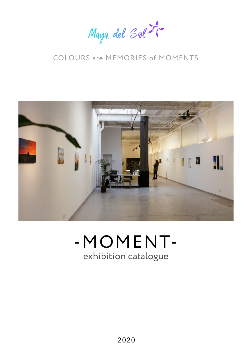Maya del Sol 29-

### COLOURS are MEMORIES of MOMENTS



# exhibition catalogue -MOMENT-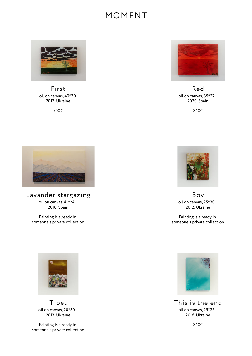#### -MOMENT-



oil on canvas, 40\*30 2012, Ukraine First

700€



oil on canvas, 35\*27 2020, Spain Red

340€



oil on canvas, 41\*24 2018, Spain Lavander stargazing

Painting is already in someone's private collection



oil on canvas, 25\*30 2012, Ukraine Boy

Painting is already in someone's private collection



oil on canvas, 25\*35 2016, Ukraine This is the end

340€



oil on canvas, 20\*30 2013, Ukraine Tibet

Painting is already in someone's private collection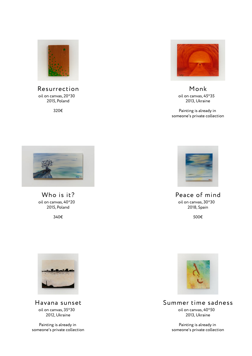

oil on canvas, 20\*30 2015, Poland Resurrection

320€



oil on canvas, 45\*35 2013, Ukraine Monk

Painting is already in someone's private collection



oil on canvas, 40\*20 2015, Poland Who is it?

340€



oil on canvas, 30\*30 2018, Spain Peace of mind

500€



oil on canvas, 40\*50 2013, Ukraine Summer time sadness

> Painting is already in someone's private collection



oil on canvas, 35\*30 2012, Ukraine Havana sunset

Painting is already in someone's private collection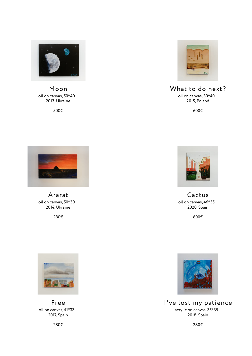

oil on canvas, 50\*40 2013, Ukraine Moon

500€



#### oil on canvas, 30\*40 What to do next?

2015, Poland

600€



oil on canvas, 50\*30 2014, Ukraine Ararat

280€



oil on canvas, 46\*55 2020, Spain Cactus

600€



acrylic on canvas, 35\*35 2018, Spain I've lost my patience

280€



oil on canvas,  $41^\circ 33$ 2017, Spain Free

280€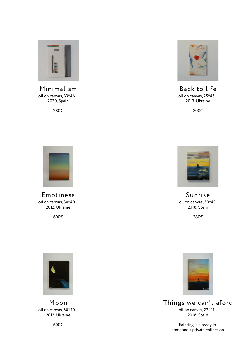

oil on canvas, 33\*46 2020, Spain Minimalism

280€



oil on canvas, 25\*45 2013, Ukraine Back to life

300€



oil on canvas, 30\*40 2012, Ukraine Emptiness

600€



oil on canvas, 30\*40 2018, Spain Sunrise

280€



oil on canvas,  $30^{\circ}40$ 2012, Ukraine Moon

600€



oil on canvas, 27\*41 2018, Spain Things we can't aford

> Painting is already in someone's private collection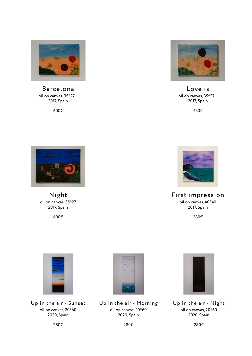

oil on canvas, 35\*27 2017, Spain Barcelona

600€



oil on canvas, 35\*27 2017, Spain Love is

450€



oil on canvas, 35\*27 2017, Spain Night

600€



oil on canvas, 40\*40 2017, Spain First impression

280€



oil on canvas, 20\*60 2020, Spain Up in the air - Sunset



oil on canvas, 20\*60 2020, Spain Up in the air - Morning



oil on canvas, 20\*60 2020, Spain Up in the air - Night

280€

280€